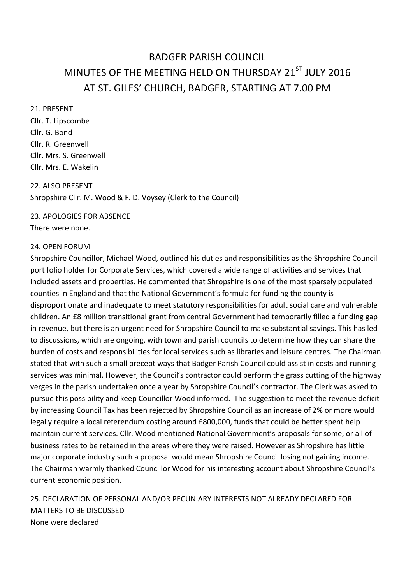# BADGER PARISH COUNCIL MINUTES OF THE MEETING HELD ON THURSDAY 21<sup>ST</sup> JULY 2016 AT ST. GILES' CHURCH, BADGER, STARTING AT 7.00 PM

#### 21. PRESENT And the state of the state of the state of the state of the state of the state of the state of the state of the state of the state of the state of the state of the state of the state of the state of the state o

Cllr. T. Lipscombe **Clir.** G. Bond **Exercise 2. Exercise 2. Exercise 2. Exercise 2. Exercise 2. Exercise 2. Exercise 2. Exercise 2. Exercise 2. Exercise 2. Exercise 2. Exercise 2. Exercise 2. Exercise 2. Exercise 2. Exercise 2. Exercise 2. E** Cllr. R. Greenwell Cllr. Mrs. S. Greenwell Cllr. Mrs. E. Wakelin

22. ALSO PRESENT Shropshire Cllr. M. Wood & F. D. Voysey (Clerk to the Council)

## 23. APOLOGIES FOR ABSENCE

There were none.

#### 24. OPEN FORUM

Shropshire Councillor, Michael Wood, outlined his duties and responsibilities as the Shropshire Council port folio holder for Corporate Services, which covered a wide range of activities and services that included assets and properties. He commented that Shropshire is one of the most sparsely populated counties in England and that the National Government's formula for funding the county is disproportionate and inadequate to meet statutory responsibilities for adult social care and vulnerable children. An £8 million transitional grant from central Government had temporarily filled a funding gap in revenue, but there is an urgent need for Shropshire Council to make substantial savings. This has led to discussions, which are ongoing, with town and parish councils to determine how they can share the burden of costs and responsibilities for local services such as libraries and leisure centres. The Chairman stated that with such a small precept ways that Badger Parish Council could assist in costs and running services was minimal. However, the Council's contractor could perform the grass cutting of the highway verges in the parish undertaken once a year by Shropshire Council's contractor. The Clerk was asked to pursue this possibility and keep Councillor Wood informed. The suggestion to meet the revenue deficit by increasing Council Tax has been rejected by Shropshire Council as an increase of 2% or more would legally require a local referendum costing around £800,000, funds that could be better spent help maintain current services. Cllr. Wood mentioned National Government's proposals for some, or all of business rates to be retained in the areas where they were raised. However as Shropshire has little major corporate industry such a proposal would mean Shropshire Council losing not gaining income. The Chairman warmly thanked Councillor Wood for his interesting account about Shropshire Council's current economic position.

25. DECLARATION OF PERSONAL AND/OR PECUNIARY INTERESTS NOT ALREADY DECLARED FOR MATTERS TO BE DISCUSSED. None were declared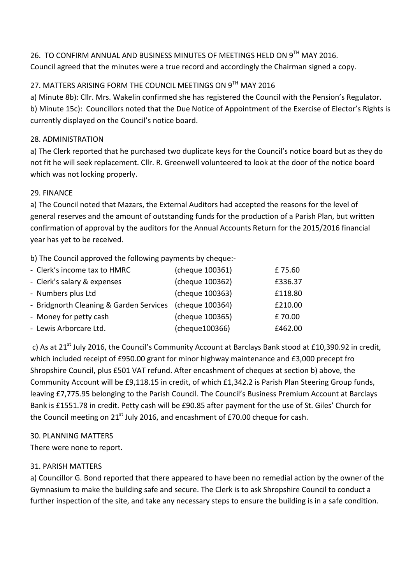## 26. TO CONFIRM ANNUAL AND BUSINESS MINUTES OF MEETINGS HELD ON 9TH MAY 2016. Council agreed that the minutes were a true record and accordingly the Chairman signed a copy.

## 27. MATTERS ARISING FORM THE COUNCIL MEETINGS ON 9TH MAY 2016

a) Minute 8b): Cllr. Mrs. Wakelin confirmed she has registered the Council with the Pension's Regulator. b) Minute 15c): Councillors noted that the Due Notice of Appointment of the Exercise of Elector's Rights is currently displayed on the Council's notice board.

### 28. ADMINISTRATION

a) The Clerk reported that he purchased two duplicate keys for the Council's notice board but as they do not fit he will seek replacement. Cllr. R. Greenwell volunteered to look at the door of the notice board which was not locking properly.

### 29. FINANCE And the state of the state of the state of the state of the state of the state of the state of the state of the state of the state of the state of the state of the state of the state of the state of the state o

a) The Council noted that Mazars, the External Auditors had accepted the reasons for the level of general reserves and the amount of outstanding funds for the production of a Parish Plan, but written confirmation of approval by the auditors for the Annual Accounts Return for the 2015/2016 financial year has yet to be received.

b) The Council approved the following payments by cheque:-

| - Clerk's income tax to HMRC            | (cheque 100361) | £75.60  |
|-----------------------------------------|-----------------|---------|
| - Clerk's salary & expenses             | (cheque 100362) | £336.37 |
| - Numbers plus Ltd                      | (cheque 100363) | £118.80 |
| - Bridgnorth Cleaning & Garden Services | (cheque 100364) | £210.00 |
| - Money for petty cash                  | (cheque 100365) | £70.00  |
| - Lewis Arborcare Ltd.                  | (cheque100366)  | £462.00 |

c) As at 21<sup>st</sup> July 2016, the Council's Community Account at Barclays Bank stood at £10,390.92 in credit, which included receipt of £950.00 grant for minor highway maintenance and £3,000 precept fro Shropshire Council, plus £501 VAT refund. After encashment of cheques at section b) above, the Community Account will be £9,118.15 in credit, of which £1,342.2 is Parish Plan Steering Group funds, leaving £7,775.95 belonging to the Parish Council. The Council's Business Premium Account at Barclays Bank is £1551.78 in credit. Petty cash will be £90.85 after payment for the use of St. Giles' Church for the Council meeting on  $21^{st}$  July 2016, and encashment of £70.00 cheque for cash.

### 30. PLANNING MATTERS

There were none to report.

## 31. PARISH MATTERS

a) Councillor G. Bond reported that there appeared to have been no remedial action by the owner of the Gymnasium to make the building safe and secure. The Clerk is to ask Shropshire Council to conduct a further inspection of the site, and take any necessary steps to ensure the building is in a safe condition.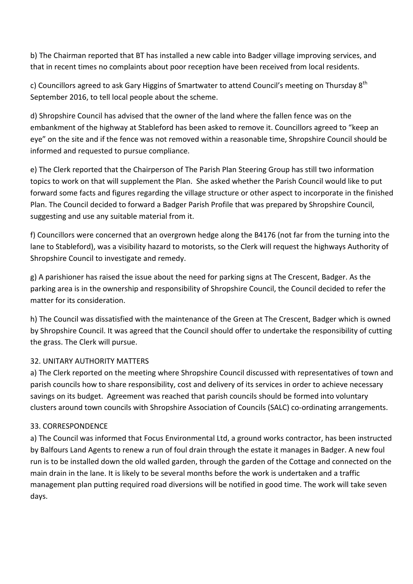b) The Chairman reported that BT has installed a new cable into Badger village improving services, and that in recent times no complaints about poor reception have been received from local residents.

c) Councillors agreed to ask Gary Higgins of Smartwater to attend Council's meeting on Thursday 8<sup>th</sup> September 2016, to tell local people about the scheme.

d) Shropshire Council has advised that the owner of the land where the fallen fence was on the embankment of the highway at Stableford has been asked to remove it. Councillors agreed to "keep an eye" on the site and if the fence was not removed within a reasonable time, Shropshire Council should be informed and requested to pursue compliance.

e) The Clerk reported that the Chairperson of The Parish Plan Steering Group has still two information topics to work on that will supplement the Plan. She asked whether the Parish Council would like to put forward some facts and figures regarding the village structure or other aspect to incorporate in the finished Plan. The Council decided to forward a Badger Parish Profile that was prepared by Shropshire Council, suggesting and use any suitable material from it.

f) Councillors were concerned that an overgrown hedge along the B4176 (not far from the turning into the lane to Stableford), was a visibility hazard to motorists, so the Clerk will request the highways Authority of Shropshire Council to investigate and remedy.

g) A parishioner has raised the issue about the need for parking signs at The Crescent, Badger. As the parking area is in the ownership and responsibility of Shropshire Council, the Council decided to refer the matter for its consideration.

h) The Council was dissatisfied with the maintenance of the Green at The Crescent, Badger which is owned by Shropshire Council. It was agreed that the Council should offer to undertake the responsibility of cutting the grass. The Clerk will pursue.

### 32. UNITARY AUTHORITY MATTERS

a) The Clerk reported on the meeting where Shropshire Council discussed with representatives of town and parish councils how to share responsibility, cost and delivery of its services in order to achieve necessary savings on its budget. Agreement was reached that parish councils should be formed into voluntary clusters around town councils with Shropshire Association of Councils (SALC) co-ordinating arrangements.

### 33. CORRESPONDENCE

a) The Council was informed that Focus Environmental Ltd, a ground works contractor, has been instructed by Balfours Land Agents to renew a run of foul drain through the estate it manages in Badger. A new foul run is to be installed down the old walled garden, through the garden of the Cottage and connected on the main drain in the lane. It is likely to be several months before the work is undertaken and a traffic management plan putting required road diversions will be notified in good time. The work will take seven days.